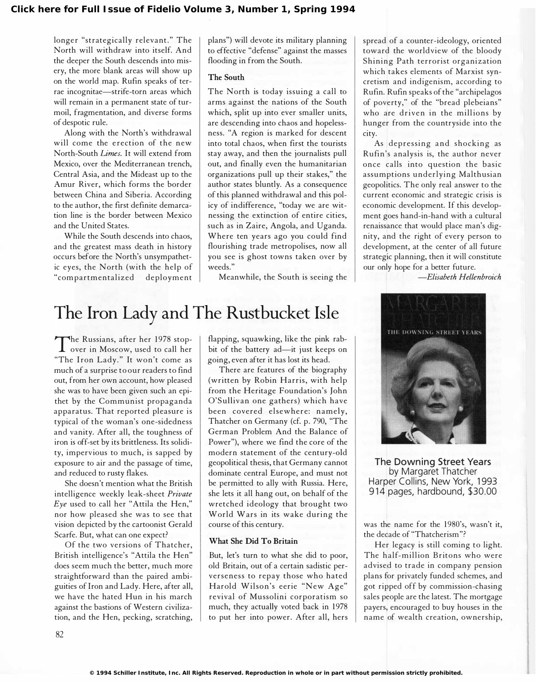longer "strategically relevant." The North will withdraw into itself. And the deeper the South descends into misery, the more blank areas will show up on the world map. Rufin speaks of terrae incognitae-strife-torn areas which will remain in a permanent state of turmoil, fragmentation, and diverse forms of despotic rule.

Along with the North's withdrawal will come the erection of the new North-South Limes. It will extend from Mexico, over the Mediterranean trench, Central Asia, and the Mideast up to the Amur River, which forms the border between China and Siberia. According to the author, the first definite demarcation line is the border between Mexico and the United States.

While the South descends into chaos, and the greatest mass death in history occurs before the North's unsympathetic eyes, the North (with the help of "com partmentalized deployment plans") will devote its military planning to effective "defense" against the masses flooding in from the South.

## The South

The North is today issuing a call to arms against the nations of the South which, split up into ever smaller units, are descending into chaos and hopelessness. "A region is marked for descent into total chaos, when first the tourists stay away, and then the journalists pull out, and finally even the humanitarian organizations pull up their stakes," the author states bluntly. As a consequence of this planned withdrawal and this policy of indifference, "today we are witnessing the extinction of entire cities, such as in Zaire, Angola, and Uganda. Where ten years ago you could find flourishing trade metropolises, now all you see is ghost towns taken over by weeds."

Meanwhile, the South is seeing the

## The Iron Lady and The Rustbucket Isle

I ne Russians, after her 1570 stop-The Russians, after her 1978 stop-"The Iron Lady." It won't come as much of a surprise to our readers to find out, from her own account, how pleased she was to have been given such an epithet by the Communist propaganda apparatus. That reported pleasure is typical of the woman's one-sidedness and vanity. After all, the toughness of iron is off-set by its brittleness. Its solidity, impervious to much, is sapped by exposure to air and the passage of time, and reduced to rusty flakes.

She doesn't mention what the British intelligence weekly leak-sheet Private Eye used to call her "Attila the Hen," nor how pleased she was to see that vision depicted by the cartoonist Gerald Scarfe. But, what can one expect?

Of the two versions of Thatcher, British intelligence's "Attila the Hen" does seem much the better, much more straightforward than the paired ambiguities of Iron and Lady. Here, after all, we have the hated Hun in his march against the bastions of Western civilization, and the Hen, pecking, scratching,

flapping, squawking, like the pink rabbit of the battery ad-it just keeps on going, even after it has lost its head.

There are features of the biography (written by Robin Harris, with help from the Heritage Foundation's John O'Sullivan one gathers) which have been covered elsewhere: namely, Thatcher on Germany (cf. p. 790, "The German Problem And the Balance of Power"), where we find the core of the modern statement of the century-old geopolitical thesis, that Germany cannot dominate central Europe, and must not be permitted to ally with Russia. Here, she lets it all hang out, on behalf of the wretched ideology that brought two World Wars in its wake during the course of this century.

## What She Did To Britain

But, let's turn to what she did to poor, old Britain, out of a certain sadistic perverseness to repay those who hated Harold Wilson's eerie "New Age" revival of Mussolini corporatism so much, they actually voted back in 1978 to put her into power. After all, hers spread of a counter-ideology, oriented toward the worldview of the bloody Shining Path terrorist organization which takes elements of Marxist syncretism and indigenism, according to Rufin. Rufin speaks of the "archipelagos of poverty," of the "bread plebeians" who are driven in the millions by hunger from the countryside into the city.

As depressing and shocking as Rufin's analysis is, the author never once calls into question the basic assumptions underlying Malthusian geopolitics. The only real answer to the current economic and strategic crisis is economic development. If this development goes hand-in-hand with a cultural renaissance that would place man's dignity, and the right of every person to development, at the center of all future strategic planning, then it will constitute our only hope for a better future.

-Elisabeth Hellenbroich



The Downing Street Years by Margaret Thatcher Harper Collins, New York, 1993 914 pages, hardbound, \$30.00

was the name for the 1980's, wasn't it, the decade of "Thatcherism"?

Her legacy is still coming to light. The half-million Britons who were advised to trade in company pension plans for privately funded schemes, and got ripped off by commission-chasing sales people are the latest. The mortgage payers, encouraged to buy houses in the name of wealth creation, ownership,